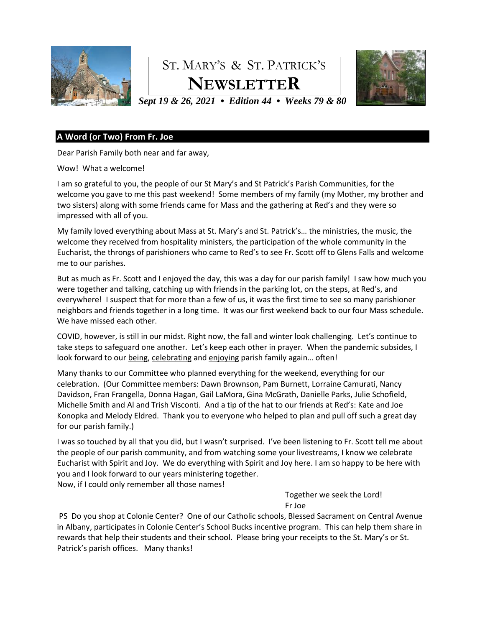

# ST. MARY'S & ST. PATRICK'S **NEWSLETTER**



*Sept 19 & 26, 2021 • Edition 44 • Weeks 79 & 80*

## **A Word (or Two) From Fr. Joe**

Dear Parish Family both near and far away,

#### Wow! What a welcome!

I am so grateful to you, the people of our St Mary's and St Patrick's Parish Communities, for the welcome you gave to me this past weekend! Some members of my family (my Mother, my brother and two sisters) along with some friends came for Mass and the gathering at Red's and they were so impressed with all of you.

My family loved everything about Mass at St. Mary's and St. Patrick's… the ministries, the music, the welcome they received from hospitality ministers, the participation of the whole community in the Eucharist, the throngs of parishioners who came to Red's to see Fr. Scott off to Glens Falls and welcome me to our parishes.

But as much as Fr. Scott and I enjoyed the day, this was a day for our parish family! I saw how much you were together and talking, catching up with friends in the parking lot, on the steps, at Red's, and everywhere! I suspect that for more than a few of us, it was the first time to see so many parishioner neighbors and friends together in a long time. It was our first weekend back to our four Mass schedule. We have missed each other.

COVID, however, is still in our midst. Right now, the fall and winter look challenging. Let's continue to take steps to safeguard one another. Let's keep each other in prayer. When the pandemic subsides, I look forward to our being, celebrating and enjoying parish family again… often!

Many thanks to our Committee who planned everything for the weekend, everything for our celebration. (Our Committee members: Dawn Brownson, Pam Burnett, Lorraine Camurati, Nancy Davidson, Fran Frangella, Donna Hagan, Gail LaMora, Gina McGrath, Danielle Parks, Julie Schofield, Michelle Smith and Al and Trish Visconti. And a tip of the hat to our friends at Red's: Kate and Joe Konopka and Melody Eldred. Thank you to everyone who helped to plan and pull off such a great day for our parish family.)

I was so touched by all that you did, but I wasn't surprised. I've been listening to Fr. Scott tell me about the people of our parish community, and from watching some your livestreams, I know we celebrate Eucharist with Spirit and Joy. We do everything with Spirit and Joy here. I am so happy to be here with you and I look forward to our years ministering together.

Now, if I could only remember all those names!

Together we seek the Lord! Fr Joe

PS Do you shop at Colonie Center? One of our Catholic schools, Blessed Sacrament on Central Avenue in Albany, participates in Colonie Center's School Bucks incentive program. This can help them share in rewards that help their students and their school. Please bring your receipts to the St. Mary's or St. Patrick's parish offices. Many thanks!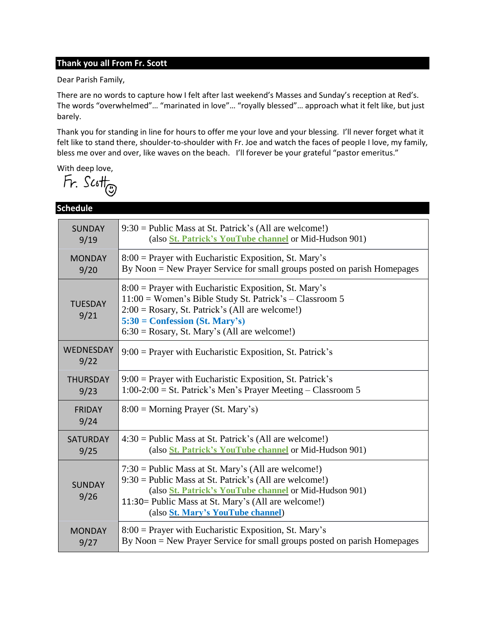# **Thank you all From Fr. Scott**

Dear Parish Family,

There are no words to capture how I felt after last weekend's Masses and Sunday's reception at Red's. The words "overwhelmed"… "marinated in love"… "royally blessed"… approach what it felt like, but just barely.

Thank you for standing in line for hours to offer me your love and your blessing. I'll never forget what it felt like to stand there, shoulder-to-shoulder with Fr. Joe and watch the faces of people I love, my family, bless me over and over, like waves on the beach. I'll forever be your grateful "pastor emeritus."

With deep love,<br> $\overline{h}$ . Scott<sub> $\overline{\mathbb{Q}}$ </sub>

| <b>Schedule</b>        |                                                                                                                                                                                                                                                                                 |  |  |  |
|------------------------|---------------------------------------------------------------------------------------------------------------------------------------------------------------------------------------------------------------------------------------------------------------------------------|--|--|--|
| <b>SUNDAY</b>          | $9:30$ = Public Mass at St. Patrick's (All are welcome!)                                                                                                                                                                                                                        |  |  |  |
| 9/19                   | (also <i>St. Patrick's YouTube channel</i> or Mid-Hudson 901)                                                                                                                                                                                                                   |  |  |  |
| <b>MONDAY</b>          | $8:00$ = Prayer with Eucharistic Exposition, St. Mary's                                                                                                                                                                                                                         |  |  |  |
| 9/20                   | By Noon = New Prayer Service for small groups posted on parish Homepages                                                                                                                                                                                                        |  |  |  |
| <b>TUESDAY</b><br>9/21 | 8:00 = Prayer with Eucharistic Exposition, St. Mary's<br>$11:00$ = Women's Bible Study St. Patrick's – Classroom 5<br>$2:00 = Rosary$ , St. Patrick's (All are welcome!)<br>$5:30 =$ Confession (St. Mary's)<br>$6:30 = Rosary$ , St. Mary's (All are welcome!)                 |  |  |  |
| WEDNESDAY<br>9/22      | $9:00$ = Prayer with Eucharistic Exposition, St. Patrick's                                                                                                                                                                                                                      |  |  |  |
| <b>THURSDAY</b>        | $9:00$ = Prayer with Eucharistic Exposition, St. Patrick's                                                                                                                                                                                                                      |  |  |  |
| 9/23                   | $1:00-2:00 =$ St. Patrick's Men's Prayer Meeting – Classroom 5                                                                                                                                                                                                                  |  |  |  |
| <b>FRIDAY</b><br>9/24  | $8:00 = \text{Morning } \text{Prayer } (\text{St. } \text{Mary's})$                                                                                                                                                                                                             |  |  |  |
| <b>SATURDAY</b>        | $4:30$ = Public Mass at St. Patrick's (All are welcome!)                                                                                                                                                                                                                        |  |  |  |
| 9/25                   | (also <i>St. Patrick's YouTube channel</i> or Mid-Hudson 901)                                                                                                                                                                                                                   |  |  |  |
| <b>SUNDAY</b><br>9/26  | $7:30 =$ Public Mass at St. Mary's (All are welcome!)<br>$9:30$ = Public Mass at St. Patrick's (All are welcome!)<br>(also <i>St. Patrick's YouTube channel</i> or Mid-Hudson 901)<br>11:30 = Public Mass at St. Mary's (All are welcome!)<br>(also St. Mary's YouTube channel) |  |  |  |
| <b>MONDAY</b>          | $8:00$ = Prayer with Eucharistic Exposition, St. Mary's                                                                                                                                                                                                                         |  |  |  |
| 9/27                   | By Noon = New Prayer Service for small groups posted on parish Homepages                                                                                                                                                                                                        |  |  |  |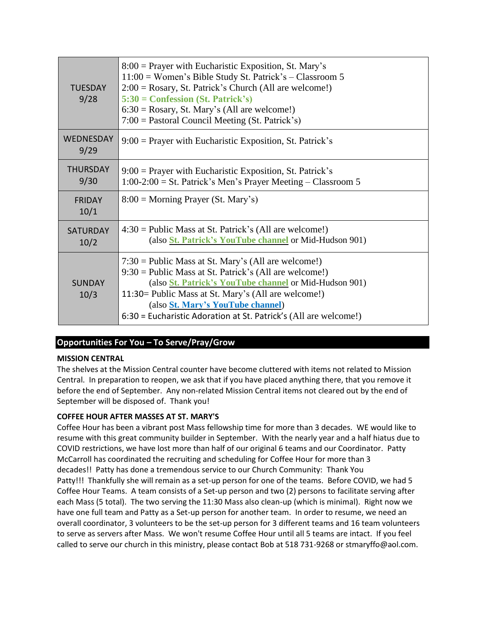| <b>TUFSDAY</b><br>9/28   | $8:00$ = Prayer with Eucharistic Exposition, St. Mary's<br>$11:00$ = Women's Bible Study St. Patrick's – Classroom 5<br>$2:00 = Rosary$ , St. Patrick's Church (All are welcome!)<br>$5:30 =$ Confession (St. Patrick's)<br>$6:30 = Rosary$ , St. Mary's (All are welcome!)<br>$7:00 =$ Pastoral Council Meeting (St. Patrick's)                    |
|--------------------------|-----------------------------------------------------------------------------------------------------------------------------------------------------------------------------------------------------------------------------------------------------------------------------------------------------------------------------------------------------|
| <b>WEDNESDAY</b><br>9/29 | $9:00$ = Prayer with Eucharistic Exposition, St. Patrick's                                                                                                                                                                                                                                                                                          |
| <b>THURSDAY</b><br>9/30  | $9:00$ = Prayer with Eucharistic Exposition, St. Patrick's<br>$1:00-2:00 =$ St. Patrick's Men's Prayer Meeting – Classroom 5                                                                                                                                                                                                                        |
| <b>FRIDAY</b><br>10/1    | $8:00 =$ Morning Prayer (St. Mary's)                                                                                                                                                                                                                                                                                                                |
| <b>SATURDAY</b><br>10/2  | $4:30 =$ Public Mass at St. Patrick's (All are welcome!)<br>(also <i>St. Patrick's YouTube channel or Mid-Hudson 901)</i>                                                                                                                                                                                                                           |
| <b>SUNDAY</b><br>10/3    | $7:30 =$ Public Mass at St. Mary's (All are welcome!)<br>$9:30 =$ Public Mass at St. Patrick's (All are welcome!)<br>(also <i>St. Patrick's YouTube channel or Mid-Hudson 901)</i><br>11:30 = Public Mass at St. Mary's (All are welcome!)<br>(also St. Mary's YouTube channel)<br>6:30 = Eucharistic Adoration at St. Patrick's (All are welcome!) |

# **Opportunities For You – To Serve/Pray/Grow**

#### **MISSION CENTRAL**

The shelves at the Mission Central counter have become cluttered with items not related to Mission Central. In preparation to reopen, we ask that if you have placed anything there, that you remove it before the end of September. Any non-related Mission Central items not cleared out by the end of September will be disposed of. Thank you!

### **COFFEE HOUR AFTER MASSES AT ST. MARY'S**

Coffee Hour has been a vibrant post Mass fellowship time for more than 3 decades. WE would like to resume with this great community builder in September. With the nearly year and a half hiatus due to COVID restrictions, we have lost more than half of our original 6 teams and our Coordinator. Patty McCarroll has coordinated the recruiting and scheduling for Coffee Hour for more than 3 decades!! Patty has done a tremendous service to our Church Community: Thank You Patty!!! Thankfully she will remain as a set-up person for one of the teams. Before COVID, we had 5 Coffee Hour Teams. A team consists of a Set-up person and two (2) persons to facilitate serving after each Mass (5 total). The two serving the 11:30 Mass also clean-up (which is minimal). Right now we have one full team and Patty as a Set-up person for another team. In order to resume, we need an overall coordinator, 3 volunteers to be the set-up person for 3 different teams and 16 team volunteers to serve as servers after Mass. We won't resume Coffee Hour until all 5 teams are intact. If you feel called to serve our church in this ministry, please contact Bob at 518 731-9268 or stmaryffo@aol.com.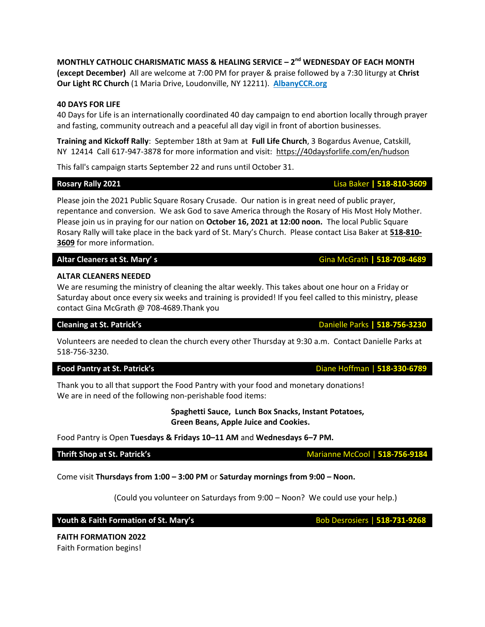**MONTHLY CATHOLIC CHARISMATIC MASS & HEALING SERVICE – 2 nd WEDNESDAY OF EACH MONTH (except December)** All are welcome at 7:00 PM for prayer & praise followed by a 7:30 liturgy at **Christ Our Light RC Church** (1 Maria Drive, Loudonville, NY 12211). **[AlbanyCCR.org](http://albanyccr.org/)**

# **40 DAYS FOR LIFE**

40 Days for Life is an internationally coordinated 40 day campaign to end abortion locally through prayer and fasting, community outreach and a peaceful all day vigil in front of abortion businesses.

**Training and Kickoff Rally**: September 18th at 9am at **Full Life Church**, 3 Bogardus Avenue, Catskill, NY 12414 Call 617-947-3878 for more information and visit:<https://40daysforlife.com/en/hudson>

This fall's campaign starts September 22 and runs until October 31.

Please join the 2021 Public Square Rosary Crusade. Our nation is in great need of public prayer, repentance and conversion. We ask God to save America through the Rosary of His Most Holy Mother. Please join us in praying for our nation on **October 16, 2021 at 12:00 noon.** The local Public Square Rosary Rally will take place in the back yard of St. Mary's Church. Please contact Lisa Baker at **518-810- 3609** for more information.

# **Altar Cleaners at St. Mary' s** Gina McGrath **| 518-708-4689**

# **ALTAR CLEANERS NEEDED**

We are resuming the ministry of cleaning the altar weekly. This takes about one hour on a Friday or Saturday about once every six weeks and training is provided! If you feel called to this ministry, please contact Gina McGrath @ 708-4689.Thank you

Volunteers are needed to clean the church every other Thursday at 9:30 a.m. Contact Danielle Parks at 518-756-3230.

### **Food Pantry at St. Patrick's** Diane Hoffman | **518-330-6789**

Thank you to all that support the Food Pantry with your food and monetary donations! We are in need of the following non-perishable food items:

> **Spaghetti Sauce, Lunch Box Snacks, Instant Potatoes, Green Beans, Apple Juice and Cookies.**

Food Pantry is Open **Tuesdays & Fridays 10–11 AM** and **Wednesdays 6–7 PM.** 

# **Thrift Shop at St. Patrick's** Marianne McCool | 518-756-9184

Come visit **Thursdays from 1:00 – 3:00 PM** or **Saturday mornings from 9:00 – Noon.** 

(Could you volunteer on Saturdays from 9:00 – Noon? We could use your help.)

**Youth & Faith Formation of St. Mary's Bob Desrosiers | 518-731-9268** 

**FAITH FORMATION 2022** Faith Formation begins!

# **Cleaning at St. Patrick's Cleaning at St. Patrick's Cleaning at St. Patrick's**

**Rosary Rally 2021** Lisa Baker **| 518-810-3609**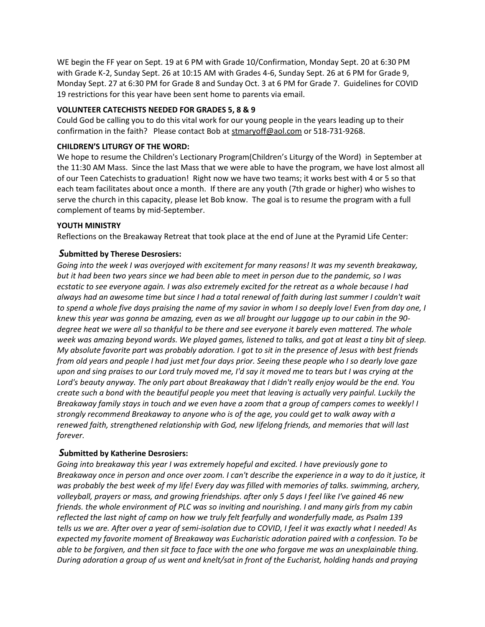WE begin the FF year on Sept. 19 at 6 PM with Grade 10/Confirmation, Monday Sept. 20 at 6:30 PM with Grade K-2, Sunday Sept. 26 at 10:15 AM with Grades 4-6, Sunday Sept. 26 at 6 PM for Grade 9, Monday Sept. 27 at 6:30 PM for Grade 8 and Sunday Oct. 3 at 6 PM for Grade 7. Guidelines for COVID 19 restrictions for this year have been sent home to parents via email.

#### **VOLUNTEER CATECHISTS NEEDED FOR GRADES 5, 8 & 9**

Could God be calling you to do this vital work for our young people in the years leading up to their confirmation in the faith? Please contact Bob at [stmaryoff@aol.com](mailto:stmaryffo@aol.com) or 518-731-9268.

#### **CHILDREN'S LITURGY OF THE WORD:**

We hope to resume the Children's Lectionary Program(Children's Liturgy of the Word) in September at the 11:30 AM Mass. Since the last Mass that we were able to have the program, we have lost almost all of our Teen Catechists to graduation! Right now we have two teams; it works best with 4 or 5 so that each team facilitates about once a month. If there are any youth (7th grade or higher) who wishes to serve the church in this capacity, please let Bob know. The goal is to resume the program with a full complement of teams by mid-September.

#### **YOUTH MINISTRY**

Reflections on the Breakaway Retreat that took place at the end of June at the Pyramid Life Center:

### *S***ubmitted by Therese Desrosiers:**

*Going into the week I was overjoyed with excitement for many reasons! It was my seventh breakaway, but it had been two years since we had been able to meet in person due to the pandemic, so I was ecstatic to see everyone again. I was also extremely excited for the retreat as a whole because I had always had an awesome time but since I had a total renewal of faith during last summer I couldn't wait to spend a whole five days praising the name of my savior in whom I so deeply love! Even from day one, I knew this year was gonna be amazing, even as we all brought our luggage up to our cabin in the 90 degree heat we were all so thankful to be there and see everyone it barely even mattered. The whole week was amazing beyond words. We played games, listened to talks, and got at least a tiny bit of sleep. My absolute favorite part was probably adoration. I got to sit in the presence of Jesus with best friends from old years and people I had just met four days prior. Seeing these people who I so dearly love gaze upon and sing praises to our Lord truly moved me, I'd say it moved me to tears but I was crying at the Lord's beauty anyway. The only part about Breakaway that I didn't really enjoy would be the end. You create such a bond with the beautiful people you meet that leaving is actually very painful. Luckily the Breakaway family stays in touch and we even have a zoom that a group of campers comes to weekly! I strongly recommend Breakaway to anyone who is of the age, you could get to walk away with a renewed faith, strengthened relationship with God, new lifelong friends, and memories that will last forever.*

### *S***ubmitted by Katherine Desrosiers:**

*Going into breakaway this year I was extremely hopeful and excited. I have previously gone to Breakaway once in person and once over zoom. I can't describe the experience in a way to do it justice, it was probably the best week of my life! Every day was filled with memories of talks. swimming, archery, volleyball, prayers or mass, and growing friendships. after only 5 days I feel like I've gained 46 new friends. the whole environment of PLC was so inviting and nourishing. I and many girls from my cabin reflected the last night of camp on how we truly felt fearfully and wonderfully made, as Psalm 139 tells us we are. After over a year of semi-isolation due to COVID, I feel it was exactly what I needed! As expected my favorite moment of Breakaway was Eucharistic adoration paired with a confession. To be able to be forgiven, and then sit face to face with the one who forgave me was an unexplainable thing. During adoration a group of us went and knelt/sat in front of the Eucharist, holding hands and praying*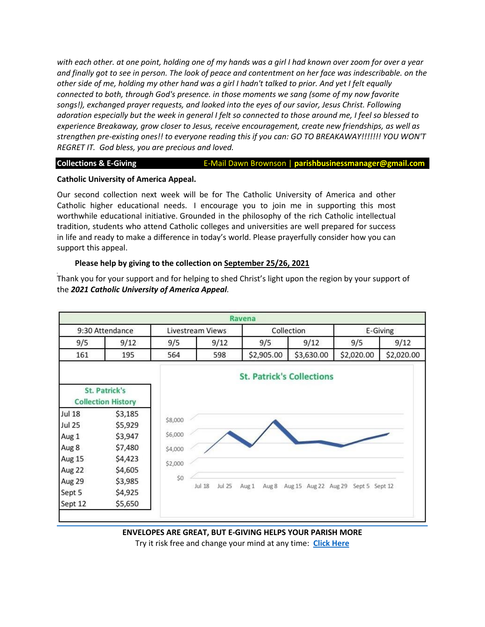*with each other. at one point, holding one of my hands was a girl I had known over zoom for over a year and finally got to see in person. The look of peace and contentment on her face was indescribable. on the other side of me, holding my other hand was a girl I hadn't talked to prior. And yet I felt equally connected to both, through God's presence. in those moments we sang (some of my now favorite songs!), exchanged prayer requests, and looked into the eyes of our savior, Jesus Christ. Following adoration especially but the week in general I felt so connected to those around me, I feel so blessed to experience Breakaway, grow closer to Jesus, receive encouragement, create new friendships, as well as strengthen pre-existing ones!! to everyone reading this if you can: GO TO BREAKAWAY!!!!!!! YOU WON'T REGRET IT. God bless, you are precious and loved.*

**Collections & E-Giving <b>E-Mail Dawn Brownson** | parishbusinessmanager@gmail.com

#### **Catholic University of America Appeal.**

Our second collection next week will be for The Catholic University of America and other Catholic higher educational needs. I encourage you to join me in supporting this most worthwhile educational initiative. Grounded in the philosophy of the rich Catholic intellectual tradition, students who attend Catholic colleges and universities are well prepared for success in life and ready to make a difference in today's world. Please prayerfully consider how you can support this appeal.

#### **Please help by giving to the collection on September 25/26, 2021**

Thank you for your support and for helping to shed Christ's light upon the region by your support of the *2021 Catholic University of America Appeal.*



**ENVELOPES ARE GREAT, BUT E-GIVING HELPS YOUR PARISH MORE** Try it risk free and change your mind at any time: **[Click Here](https://docs.google.com/forms/d/e/1FAIpQLSfPDkNMWeHBdAon9_JenUdoVQ6vQbqpu0cYd2Ww0QFwtxwS7A/viewform)**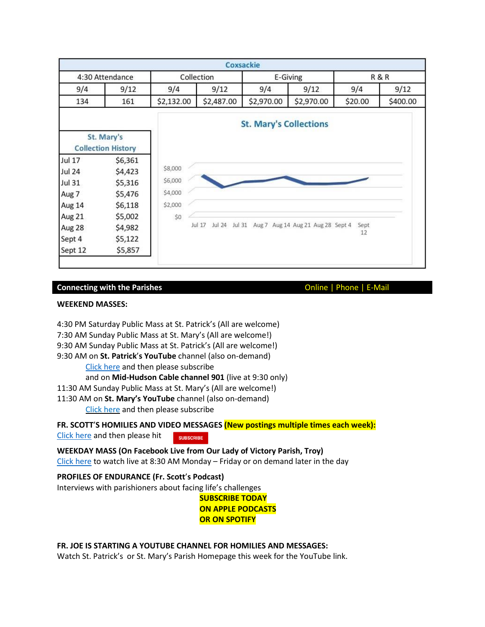|                 |                                         |            |                            | Coxsackie                     |                                   |                |          |
|-----------------|-----------------------------------------|------------|----------------------------|-------------------------------|-----------------------------------|----------------|----------|
| 4:30 Attendance |                                         | Collection |                            | E-Giving                      |                                   | <b>R&amp;R</b> |          |
| 9/4             | 9/12                                    | 9/4        | 9/12                       | 9/4                           | 9/12                              | 9/4            | 9/12     |
| 134             | 161                                     | \$2,132.00 | \$2,487.00                 | \$2,970.00                    | \$2,970.00                        | \$20.00        | \$400.00 |
|                 |                                         |            |                            | <b>St. Mary's Collections</b> |                                   |                |          |
|                 | St. Mary's<br><b>Collection History</b> |            |                            |                               |                                   |                |          |
| <b>Jul 17</b>   | \$6,361                                 |            |                            |                               |                                   |                |          |
| <b>Jul 24</b>   | \$4,423                                 | \$8,000    |                            |                               |                                   |                |          |
| <b>Jul 31</b>   | \$5,316                                 | \$6,000    |                            |                               |                                   |                |          |
| Aug 7           | \$5,476                                 | \$4,000    |                            |                               |                                   |                |          |
| Aug 14          | \$6,118                                 | \$2,000    |                            |                               |                                   |                |          |
| Aug 21          | \$5,002                                 | \$0        |                            |                               |                                   |                |          |
| Aug 28          | \$4,982                                 |            | Jul 24<br>Jul 31<br>Jul 17 |                               | Aug 7 Aug 14 Aug 21 Aug 28 Sept 4 | Sept           |          |
| Sept 4          | \$5,122                                 |            |                            |                               |                                   | 12             |          |
| Sept 12         | \$5,857                                 |            |                            |                               |                                   |                |          |

### **Connecting with the Parishes Connecting with the Parishes Connecting With the Parishes Connecting With the Parishes**

#### **WEEKEND MASSES:**

4:30 PM Saturday Public Mass at St. Patrick's (All are welcome)

7:30 AM Sunday Public Mass at St. Mary's (All are welcome!)

9:30 AM Sunday Public Mass at St. Patrick's (All are welcome!)

9:30 AM on **St. Patrick**'**s YouTube** channel (also on-demand)

[Click](https://www.youtube.com/channel/UCIRr4Mwue0TdsuS3HtWm4DA) here and then please subscribe

and on **Mid-Hudson Cable channel 901** (live at 9:30 only)

11:30 AM Sunday Public Mass at St. Mary's (All are welcome!)

11:30 AM on **St. Mary's YouTube** channel (also on-demand)

[Click](https://www.youtube.com/channel/UCfROBLJIztwzZryPen47Yig/featured) here and then please subscribe

**FR. SCOTT**'**S HOMILIES AND VIDEO MESSAGES (New postings multiple times each week):**

[Click](https://www.youtube.com/channel/UCmBzEQRr6ZETPRkYtMaCxJg) here and then please hit **SUBSCRIBE** 

**WEEKDAY MASS (On Facebook Live from Our Lady of Victory Parish, Troy)** [Click](https://www.facebook.com/olvols/) here to watch live at 8:30 AM Monday – Friday or on demand later in the day

# **PROFILES OF ENDURANCE (Fr. Scott**'**s Podcast)**

Interviews with parishioners about facing life's challenges

**SUBSCRIBE TODAY ON APPLE PODCASTS OR ON SPOTIFY**

### **FR. JOE IS STARTING A YOUTUBE CHANNEL FOR HOMILIES AND MESSAGES:**

Watch St. Patrick's or St. Mary's Parish Homepage this week for the YouTube link.